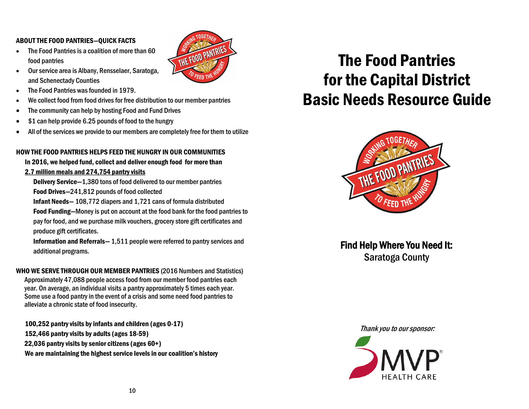#### ABOUT THE FOOD PANTRIES—QUICK FACTS

• The Food Pantries is a coalition of more than 60 food pantries



- The Food Pantries was founded in 1979.
- We collect food from food drives for free distribution to our member pantries
- The community can help by hosting Food and Fund Drives
- \$1 can help provide 6.25 pounds of food to the hungry
- All of the services we provide to our members are completely free for them to utilize

THE FOOD PANTRIES

#### HOW THE FOOD PANTRIES HELPS FEED THE HUNGRY IN OUR COMMUNITIES

In 2016, we helped fund, collect and deliver enough food for more than 2.7 million meals and 274,754 pantry visits

Delivery Service—1,380 tons of food delivered to our member pantries Food Drives—241,812 pounds of food collected

Infant Needs— 108,772 diapers and 1,721 cans of formula distributed

 Food Funding—Money is put on account at the food bank for the food pantries to pay for food, and we purchase milk vouchers, grocery store gift certificates and produce gift certificates.

 Information and Referrals— 1,511 people were referred to pantry services and additional programs.

WHO WE SERVE THROUGH OUR MEMBER PANTRIES (2016 Numbers and Statistics) Approximately 47,088 people access food from our member food pantries each year. On average, an individual visits a pantry approximately 5 times each year. Some use a food pantry in the event of a crisis and some need food pantries to alleviate a chronic state of food insecurity.

100,252 pantry visits by infants and children (ages 0-17) 152,466 pantry visits by adults (ages 18-59) 22,036 pantry visits by senior citizens (ages 60+) We are maintaining the highest service levels in our coalition's history

# The Food Pantries for the Capital District Basic Needs Resource Guide



Find Help Where You Need It: Saratoga County

Thank you to our sponsor:

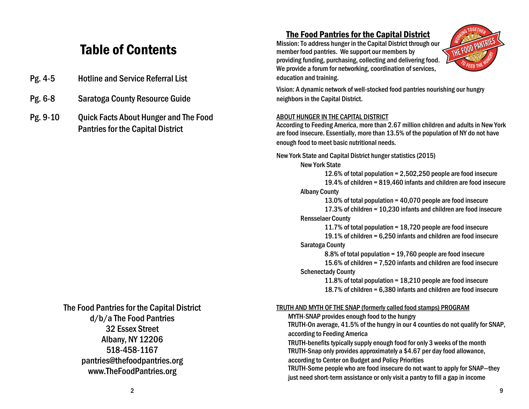# Table of Contents

- Pg. 4-5 Hotline and Service Referral List
- Pg. 6-8 Saratoga County Resource Guide
- Pg. 9-10 Quick Facts About Hunger and The Food Pantries for the Capital District

## The Food Pantries for the Capital District d/b/a The Food Pantries 32 Essex Street Albany, NY 12206 518-458-1167 pantries@thefoodpantries.org www.TheFoodPantries.org

## The Food Pantries for the Capital District

Mission: To address hunger in the Capital District through our member food pantries. We support our members by providing funding, purchasing, collecting and delivering food. We provide a forum for networking, coordination of services, education and training.



Vision: A dynamic network of well-stocked food pantries nourishing our hungry neighbors in the Capital District.

#### ABOUT HUNGER IN THE CAPITAL DISTRICT

According to Feeding America, more than 2.67 million children and adults in New York are food insecure. Essentially, more than 13.5% of the population of NY do not have enough food to meet basic nutritional needs.

New York State and Capital District hunger statistics (2015)

New York State

12.6% of total population = 2,502,250 people are food insecure 19.4% of children = 819,460 infants and children are food insecure Albany County

13.0% of total population = 40,070 people are food insecure 17.3% of children = 10,230 infants and children are food insecure Rensselaer County

11.7% of total population = 18,720 people are food insecure 19.1% of children = 6,250 infants and children are food insecure

#### Saratoga County

8.8% of total population = 19,760 people are food insecure

15.6% of children = 7,520 infants and children are food insecure Schenectady County

11.8% of total population = 18,210 people are food insecure 18.7% of children = 6,380 infants and children are food insecure

#### TRUTH AND MYTH OF THE SNAP (formerly called food stamps) PROGRAM

MYTH-SNAP provides enough food to the hungry

TRUTH-On average, 41.5% of the hungry in our 4 counties do not qualify for SNAP, according to Feeding America

TRUTH-benefits typically supply enough food for only 3 weeks of the month TRUTH-Snap only provides approximately a \$4.67 per day food allowance, according to Center on Budget and Policy Priorities

TRUTH-Some people who are food insecure do not want to apply for SNAP—they just need short-term assistance or only visit a pantry to fill a gap in income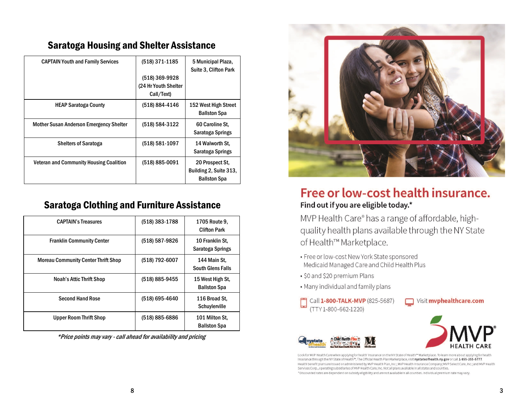| <b>CAPTAIN Youth and Family Services</b>       | (518) 371-1185       | 5 Municipal Plaza,<br>Suite 3, Clifton Park                      |
|------------------------------------------------|----------------------|------------------------------------------------------------------|
|                                                | (518) 369-9928       |                                                                  |
|                                                | (24 Hr Youth Shelter |                                                                  |
|                                                | Call/Text)           |                                                                  |
| <b>HEAP Saratoga County</b>                    | (518) 884-4146       | 152 West High Street<br><b>Ballston Spa</b>                      |
| <b>Mother Susan Anderson Emergency Shelter</b> | (518) 584-3122       | 60 Caroline St.<br>Saratoga Springs                              |
| <b>Shelters of Saratoga</b>                    | (518) 581-1097       | 14 Walworth St.<br>Saratoga Springs                              |
| <b>Veteran and Community Housing Coalition</b> | (518) 885-0091       | 20 Prospect St.<br>Building 2, Suite 313,<br><b>Ballston Spa</b> |

## Saratoga Housing and Shelter Assistance

## Saratoga Clothing and Furniture Assistance

| <b>CAPTAIN's Treasures</b>                 | (518) 383-1788 | 1705 Route 9,<br><b>Clifton Park</b>     |
|--------------------------------------------|----------------|------------------------------------------|
| <b>Franklin Community Center</b>           | (518) 587-9826 | 10 Franklin St.<br>Saratoga Springs      |
| <b>Moreau Community Center Thrift Shop</b> | (518) 792-6007 | 144 Main St.<br><b>South Glens Falls</b> |
| <b>Noah's Attic Thrift Shop</b>            | (518) 885-9455 | 15 West High St.<br><b>Ballston Spa</b>  |
| <b>Second Hand Rose</b>                    | (518) 695-4640 | 116 Broad St.<br>Schuylerville           |
| <b>Upper Room Thrift Shop</b>              | (518) 885-6886 | 101 Milton St.<br><b>Ballston Spa</b>    |

\*Price points may vary - call ahead for availability and pricing



## Free or low-cost health insurance. Find out if you are eligible today.\*

MVP Health Care® has a range of affordable, highquality health plans available through the NY State of Health™ Marketplace.

- Free or low-cost New York State sponsored Medicaid Managed Care and Child Health Plus
- · \$0 and \$20 premium Plans
- . Many individual and family plans
- Call 1-800-TALK-MVP (825-5687) (TTY 1-800-662-1220)





Look for MVP Health Care when applying for health insurance on the NY State of Health™ Marketplace. To learn more about applying for health insurance through the NY State of Health™, The Official Health Plan Marketplace, visit nystateofhealth.ny.gov or call 1-855-355-5777. Health benefit plans are issued or administered by MVP Health Plan, Inc.; MVP Health Insurance Company; MVP Select Care, Inc.; and MVP Health Services Corp., operating subsidiaries of MVP Health Care, Inc. Not all plans available in all states and counties. \*Discounted rates are dependent on subsidy eligibility and are not available in all counties. Individual premium rate may vary.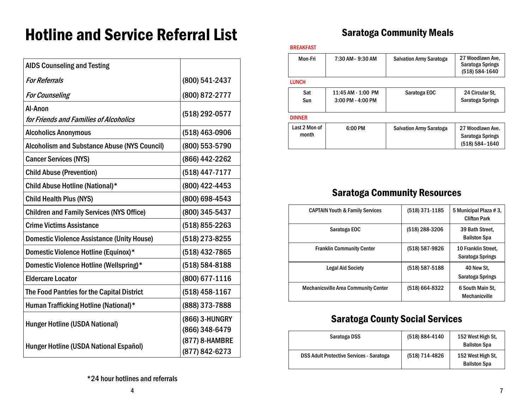# Hotline and Service Referral List

| <b>AIDS Counseling and Testing</b>                  |                                  |
|-----------------------------------------------------|----------------------------------|
| <b>For Referrals</b>                                | (800) 541-2437                   |
| <b>For Counseling</b>                               | (800) 872-2777                   |
| Al-Anon<br>for Friends and Families of Alcoholics   | (518) 292-0577                   |
| <b>Alcoholics Anonymous</b>                         | (518) 463-0906                   |
| <b>Alcoholism and Substance Abuse (NYS Council)</b> | (800) 553-5790                   |
| <b>Cancer Services (NYS)</b>                        | (866) 442-2262                   |
| <b>Child Abuse (Prevention)</b>                     | (518) 447-7177                   |
| Child Abuse Hotline (National)*                     | (800) 422-4453                   |
| <b>Child Health Plus (NYS)</b>                      | (800) 698-4543                   |
| <b>Children and Family Services (NYS Office)</b>    | (800) 345-5437                   |
| <b>Crime Victims Assistance</b>                     | (518) 855-2263                   |
| <b>Domestic Violence Assistance (Unity House)</b>   | (518) 273-8255                   |
| Domestic Violence Hotline (Equinox)*                | (518) 432-7865                   |
| Domestic Violence Hotline (Wellspring)*             | (518) 584-8188                   |
| <b>Eldercare Locator</b>                            | (800) 677-1116                   |
| The Food Pantries for the Capital District          | (518) 458-1167                   |
| Human Trafficking Hotline (National)*               | (888) 373-7888                   |
| <b>Hunger Hotline (USDA National)</b>               | (866) 3-HUNGRY<br>(866) 348-6479 |
| Hunger Hotline (USDA National Español)              | (877) 8-HAMBRE<br>(877) 842-6273 |

## Saratoga Community Meals

#### BREAKFAST

| Mon-Fri                | 7:30 AM - 9:30 AM                       | <b>Salvation Army Saratoga</b> | 27 Woodlawn Ave.<br>Saratoga Springs<br>(518) 584-1640 |
|------------------------|-----------------------------------------|--------------------------------|--------------------------------------------------------|
| <b>LUNCH</b>           |                                         |                                |                                                        |
| Sat<br>Sun             | 11:45 AM - 1:00 PM<br>3:00 PM - 4:00 PM | Saratoga EOC                   | 24 Circular St.<br>Saratoga Springs                    |
| <b>DINNER</b>          |                                         |                                |                                                        |
| Last 2 Mon of<br>month | 6:00 PM                                 | <b>Salvation Army Saratoga</b> | 27 Woodlawn Ave.<br>Saratoga Springs<br>(518) 584-1640 |

## Saratoga Community Resources

| <b>CAPTAIN Youth &amp; Family Services</b>  | (518) 371-1185 | 5 Municipal Plaza #3,<br><b>Clifton Park</b> |
|---------------------------------------------|----------------|----------------------------------------------|
| Saratoga EOC                                | (518) 288-3206 | 39 Bath Street.<br><b>Ballston Spa</b>       |
| <b>Franklin Community Center</b>            | (518) 587-9826 | 10 Franklin Street.<br>Saratoga Springs      |
| <b>Legal Aid Society</b>                    | (518) 587-5188 | 40 New St.<br>Saratoga Springs               |
| <b>Mechanicsville Area Community Center</b> | (518) 664-8322 | 6 South Main St.<br>Mechanicville            |

## Saratoga County Social Services

| Saratoga DSS                                    | (518) 884-4140 | 152 West High St.<br><b>Ballston Spa</b> |
|-------------------------------------------------|----------------|------------------------------------------|
| <b>DSS Adult Protective Services - Saratoga</b> | (518) 714-4826 | 152 West High St.<br><b>Ballston Spa</b> |

\*24 hour hotlines and referrals